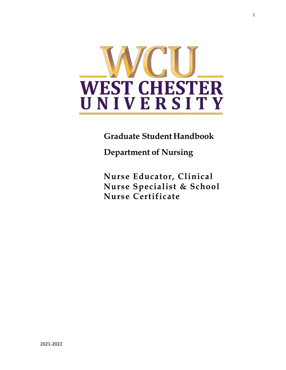

**Graduate Student Handbook**

**Department of Nursing**

**Nurse Educator, Clinical Nurse Specialist & School Nurse Certificate**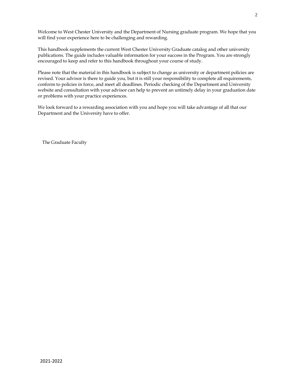Welcome to West Chester University and the Department of Nursing graduate program. We hope that you will find your experience here to be challenging and rewarding.

This handbook supplements the current West Chester University Graduate catalog and other university publications. The guide includes valuable information for your success in the Program. You are strongly encouraged to keep and refer to this handbook throughout your course of study.

Please note that the material in this handbook is subject to change as university or department policies are revised. Your advisor is there to guide you, but it is still your responsibility to complete all requirements, conform to policies in force, and meet all deadlines. Periodic checking of the Department and University website and consultation with your advisor can help to prevent an untimely delay in your graduation date or problems with your practice experiences.

We look forward to a rewarding association with you and hope you will take advantage of all that our Department and the University have to offer.

The Graduate Faculty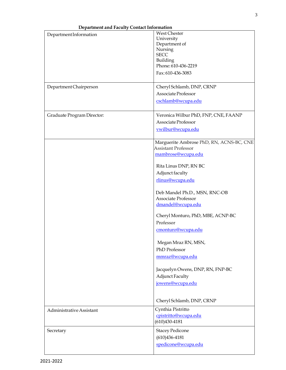| Department and Faculty Contact Information |                                          |
|--------------------------------------------|------------------------------------------|
| Department Information                     | <b>West Chester</b>                      |
|                                            | University                               |
|                                            | Department of                            |
|                                            | Nursing                                  |
|                                            | <b>SECC</b>                              |
|                                            | Building                                 |
|                                            | Phone: 610-436-2219                      |
|                                            | Fax: 610-436-3083                        |
| Department Chairperson                     | Cheryl Schlamb, DNP, CRNP                |
|                                            | Associate Professor                      |
|                                            |                                          |
|                                            | cschlamb@wcupa.edu                       |
| Graduate Program Director:                 | Veronica Wilbur PhD, FNP, CNE, FAANP     |
|                                            | Associate Professor                      |
|                                            | vwilbur@wcupa.edu                        |
|                                            |                                          |
|                                            | Marguerite Ambrose PhD, RN, ACNS-BC, CNE |
|                                            | <b>Assistant Professor</b>               |
|                                            | mambrose@wcupa.edu                       |
|                                            | Rita Linus DNP, RN BC                    |
|                                            | Adjunct faculty                          |
|                                            | rlinus@wcupa.edu                         |
|                                            |                                          |
|                                            | Deb Mandel Ph.D., MSN, RNC-OB            |
|                                            | <b>Associate Professor</b>               |
|                                            | dmandel@wcupa.edu                        |
|                                            | Cheryl Monturo, PhD, MBE, ACNP-BC        |
|                                            | Professor                                |
|                                            |                                          |
|                                            | cmonturo@wcupa.edu                       |
|                                            | Megan Mraz RN, MSN,                      |
|                                            | PhD Professor                            |
|                                            |                                          |
|                                            | mmraz@wcupa.edu                          |
|                                            | Jacquelyn Owens, DNP, RN, FNP-BC         |
|                                            | <b>Adjunct Faculty</b>                   |
|                                            |                                          |
|                                            | jowens@wcupa.edu                         |
|                                            |                                          |
|                                            | Cheryl Schlamb, DNP, CRNP                |
| Administrative Assistant                   | Cynthia Pistritto                        |
|                                            | cpistritto@wcupa.edu                     |
|                                            | $(610)430 - 4181$                        |
| Secretary                                  | <b>Stacey Pedicone</b>                   |
|                                            | $(610)436 - 4181$                        |
|                                            | spedicone@wcupa.edu                      |
|                                            |                                          |

**Department and Faculty Contact Information**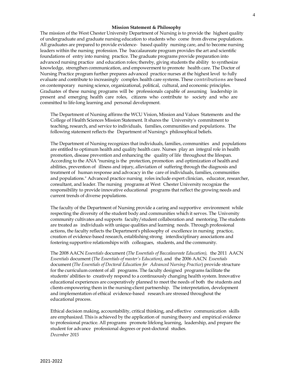### **Mission Statement & Philosophy**

The mission of the West Chester University Department of Nursing is to provide the highest quality of undergraduate and graduate nursingeducation to students who come from diverse populations. All graduates are prepared to provide evidence- based quality nursingcare, and to become nursing leaders within the nursing profession. The baccalaureate program provides the art and scientific foundations of entry into nursing practice. Thegraduate programs provide preparation into advanced nursing practice and education roles; thereby, giving students the ability to synthesize knowledge, strengthen communication, and empowerment to promote health care. The Doctor of Nursing Practice program further prepares advanced practice nurses at the highest level to fully evaluate and contribute to increasingly complex health care systems. These contributions are based on contemporary nursing science, organizational, political, cultural, and economic principles. Graduates of these nursing programs will be professionals capable of assuming leadership in present and emerging health care roles, citizens who contribute to society and who are committed to life-long learning and personal development.

The Department of Nursing affirms the WCU Vision, Mission and Values Statements and the College of Health Sciences Mission Statement. It shares the University's commitment to teaching, research, and service to individuals, families, communities and populations. The following statement reflects the Department of Nursing's philosophical beliefs.

The Department of Nursing recognizes that individuals, families, communities and populations are entitled to optimum health and quality health care. Nurses play an integral role in health promotion, disease prevention and enhancing the qualityof life throughout the lifespan. According to the ANA "nursingis the protection, promotion and optimization of health and abilities, prevention of illness and injury, alleviation of suffering through the diagnosis and treatment of human response and advocacyin the care of individuals, families, communities and populations." Advanced practice nursing roles include expert clinician, educator, researcher, consultant, and leader. The nursing programs at West Chester University recognize the responsibility to provide innovative educational programs that reflect thegrowing needs and current trends of diverse populations.

The faculty of the Department of Nursing provide a caringand supportive environment while respecting the diversity of the student bodyand communities which it serves. The University community cultivates and supports faculty/student collaboration and mentoring. The students are treated as individuals with unique qualities and learning needs. Through professional actions, the faculty reflects the Department's philosophy of excellence in nursing practice, creation of evidence-based research, establishingstrong interdisciplinary associations and fostering supportive relationships with colleagues, students, and the community.

The 2008 AACN *Essentials* document (*The Essentials of Baccalaureate Education),* the 2011 AACN *Essentials* document (*The Essentials of master's Education),* and the 2006 AACN *Essentials* document (*The Essentials of Doctoral Education for Advanced Nursing Practice*) provide structure for the curriculum content of all programs. The faculty designed programs facilitate the students' abilities to creatively respond to a continuously changing health system. Innovative educational experiences are cooperatively planned to meet the needs of both the students and clients empowering them in the nursing-client partnership. The interpretation, development and implementation of ethical evidence-based research are stressed throughout the educational process.

Ethical decision making, accountability, critical thinking, and effective communication skills are emphasized. This is achieved by the application of nursing theory and empirical evidence to professional practice. All programs promote lifelong learning, leadership, and prepare the student for advance professional degrees or post-doctoral studies. *December 2015*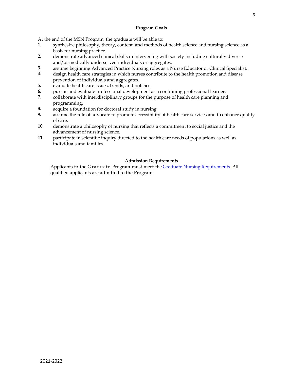At the end of the MSN Program, the graduate will be able to:

- **1.** synthesize philosophy, theory, content, and methods of health science and nursing science as a basis for nursing practice.
- **2.** demonstrate advanced clinical skills in intervening with society including culturally diverse and/or medically underserved individuals or aggregates.
- **3.** assume beginning Advanced Practice Nursing roles as a Nurse Educator or Clinical Specialist.
- **4.** design health care strategies in which nurses contribute to the health promotion and disease prevention of individuals and aggregates.
- **5.** evaluate health care issues, trends, and policies.
- **6.** pursue and evaluate professional development as a continuing professional learner.
- **7.** collaborate with interdisciplinary groups for the purpose of health care planning and programming.
- **8.** acquire a foundation for doctoral study in nursing.
- **9.** assume the role of advocate to promote accessibility of health care services and to enhance quality of care.
- **10.** demonstrate a philosophy of nursing that reflects a commitment to social justice and the advancement of nursing science.
- **11.** participate in scientific inquiry directed to the health care needs of populations as well as individuals and families.

## **Admission Requirements**

Applicants to the Graduate Program must meet the [Graduate Nursing Requirements.](https://www.wcupa.edu/healthSciences/nursing/graduate.aspx#MSN) *A*ll qualified applicants are admitted to the Program.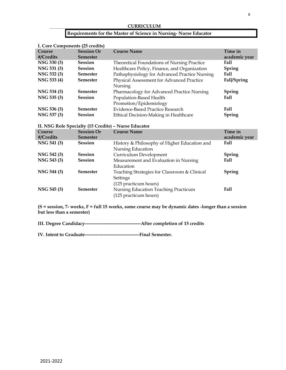# **CURRICULUM**

## **Requirements for the Master of Science in Nursing- Nurse Educator**

| I. Core Components (25 credits) |                   |                                                    |               |
|---------------------------------|-------------------|----------------------------------------------------|---------------|
| Course                          | <b>Session Or</b> | <b>Course Name</b>                                 | Time in       |
| #/Credits                       | <b>Semester</b>   |                                                    | academic year |
| NSG 530 (3)                     | <b>Session</b>    | <b>Theoretical Foundations of Nursing Practice</b> | Fall          |
| NSG 531 (3)                     | <b>Session</b>    | Healthcare Policy, Finance, and Organization       | <b>Spring</b> |
| NSG 532 (3)                     | <b>Semester</b>   | Pathophysiology for Advanced Practice Nursing      | <b>Fall</b>   |
| NSG 533 (4)                     | <b>Semester</b>   | Physical Assessment for Advanced Practice          | Fall/Spring   |
|                                 |                   | Nursing                                            |               |
| NSG 534 (3)                     | <b>Semester</b>   | Pharmacology for Advanced Practice Nursing         | <b>Spring</b> |
| NSG 535 (3)                     | <b>Session</b>    | Population-Based Health                            | Fall          |
|                                 |                   | Promotion/Epidemiology                             |               |
| NSG 536 (3)                     | <b>Semester</b>   | Evidence-Based Practice Research                   | <b>Fall</b>   |
| NSG 537 (3)                     | <b>Session</b>    | Ethical Decision-Making in Healthcare              | Spring        |

## **II. NSG Role Specialty (15 Credits) – Nurse Educator**

| Course<br>#/Credits | <b>Session Or</b><br><b>Semester</b> | <b>Course Name</b>                                                | Time in<br>academic year |
|---------------------|--------------------------------------|-------------------------------------------------------------------|--------------------------|
| NSG 541 (3)         | <b>Session</b>                       | History & Philosophy of Higher Education and<br>Nursing Education | Fall                     |
| NSG 542 (3)         | <b>Session</b>                       | Curriculum Development                                            | <b>Spring</b>            |
| NSG 543 (3)         | <b>Session</b>                       | Measurement and Evaluation in Nursing                             | Fall                     |
| NSG 544 (3)         | <b>Semester</b>                      | Education<br>Teaching Strategies for Classroom & Clinical         | <b>Spring</b>            |
|                     |                                      | Settings                                                          |                          |
|                     |                                      | (125 practicum hours)                                             |                          |
| NSG 545 (3)         | <b>Semester</b>                      | Nursing Education Teaching Practicum                              | Fall                     |
|                     |                                      | (125 practicum hours)                                             |                          |

**(S = session, 7- weeks, F = full 15 weeks, some course may be dynamic dates -longer than a session but less than a semester)**

**III. Degree Candidacy------------------------------------After completion of 15 credits**

**IV. Intent to Graduate-----------------------------------Final Semester.**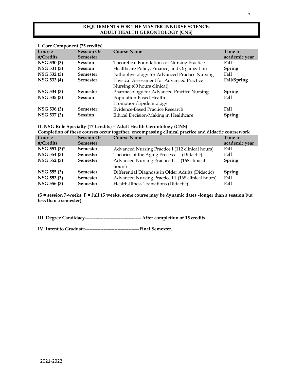## **REQUIRMENTS FOR THE MASTER INNURSE SCIENCE: ADULT HEALTH GERONTOLOGY (CNS)**

| I. Core Component (25 credits) |  |  |  |
|--------------------------------|--|--|--|
|                                |  |  |  |
| academic year                  |  |  |  |
|                                |  |  |  |
|                                |  |  |  |
|                                |  |  |  |
|                                |  |  |  |
|                                |  |  |  |
|                                |  |  |  |
|                                |  |  |  |
|                                |  |  |  |
|                                |  |  |  |
|                                |  |  |  |
|                                |  |  |  |

**II. NSG Role Specialty (17 Credits) – Adult Health Gerontology (CNS)**

| Completion of these courses occur together, encompassing clinical practice and didactic coursework |                   |                                                      |               |
|----------------------------------------------------------------------------------------------------|-------------------|------------------------------------------------------|---------------|
| Course                                                                                             | <b>Session Or</b> | <b>Course Name</b>                                   | Time in       |
| #/Credits                                                                                          | <b>Semester</b>   |                                                      | academic year |
| NSG 551 (3)*                                                                                       | <b>Semester</b>   | Advanced Nursing Practice I (112 clinical hours)     | <b>Fall</b>   |
| NSG 554 (3)                                                                                        | <b>Semester</b>   | Theories of the Aging Process<br>(Didactic)          | Fall          |
| NSG 552 (3)                                                                                        | <b>Semester</b>   | <b>Advanced Nursing Practice II</b><br>(168 clinical | <b>Spring</b> |
|                                                                                                    |                   | hours)                                               |               |
| NSG 555 (3)                                                                                        | <b>Semester</b>   | Differential Diagnosis in Older Adults (Didactic)    | Spring        |
| NSG 553 (3)                                                                                        | <b>Semester</b>   | Advanced Nursing Practice III (168 clinical hours)   | <b>Fall</b>   |
| NSG 556 (3)                                                                                        | <b>Semester</b>   | Fall<br>Health-Illness Transitions (Didactic)        |               |

**(S = session 7-weeks, F = full 15 weeks, some course may be dynamic dates -longer than a session but less than a semester)**

**III. Degree Candidacy------------------------------------ After completion of 15 credits.**

**IV. Intent to Graduate-----------------------------------Final Semester.**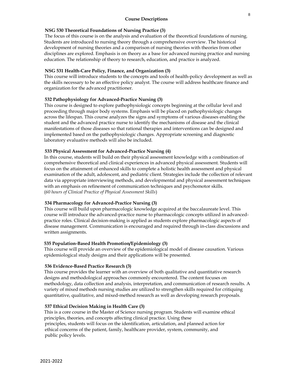### **NSG 530 Theoretical Foundations of Nursing Practice (3)**

The focus of this course is on the analysis and evaluation of the theoretical foundations of nursing. Students are introduced to nursing theory through a comprehensive overview. The historical development of nursing theories and a comparison of nursing theories with theories from other disciplines are explored. Emphasis is on theory as a base for advanced nursing practice and nursing education. The relationship of theory to research, education, and practice is analyzed.

## **NSG 531 Health-Care Policy, Finance, and Organization (3)**

This course will introduce students to the concepts and tools of health-policy development as well as the skills necessary to be an effective policy analyst. The course will address healthcare finance and organization for the advanced practitioner.

## **532 Pathophysiology for Advanced-Practice Nursing (3)**

This course is designed to explore pathophysiologic concepts beginning at the cellular level and proceeding through major body systems. Emphasis will be placed on pathophysiologic changes across the lifespan. This course analyzes the signs and symptoms of various diseases enabling the student and the advanced practice nurse to identify the mechanisms of disease and the clinical manifestations of those diseases so that rational therapies and interventions can be designed and implemented based on the pathophysiologic changes. Appropriate screening and diagnostic laboratory evaluative methods will also be included.

### **533 Physical Assessment for Advanced-Practice Nursing (4)**

In this course, students will build on their physical assessment knowledge with a combination of comprehensive theoretical and clinical experiences in advanced physical assessment. Students will focus on the attainment of enhanced skills to complete a holistic health assessment and physical examination of the adult, adolescent, and pediatric client. Strategies include the collection of relevant data via appropriate interviewing methods, and developmental and physical assessment techniques with an emphasis on refinement of communication techniques and psychomotor skills. (*60 hours of Clinical Practice of Physical Assessment Skills*)

### **534 Pharmacology for Advanced-Practice Nursing (3)**

This course will build upon pharmacologic knowledge acquired at the baccalaureate level. This course will introduce the advanced-practice nurse to pharmacologic concepts utilized in advancedpractice roles. Clinical decision-making is applied as students explore pharmacologic aspects of disease management. Communication is encouraged and required through in-class discussions and written assignments.

### **535 Population-Based Health Promotion/Epidemiology (3)**

This course will provide an overview of the epidemiological model of disease causation. Various epidemiological study designs and their applications will be presented.

### **536 Evidence-Based Practice Research (3)**

This course provides the learner with an overview of both qualitative and quantitative research designs and methodological approaches commonly encountered. The content focuses on methodology, data collection and analysis, interpretation, and communication of research results. A variety of mixed methods nursing studies are utilized to strengthen skills required for critiquing quantitative, qualitative, and mixed-method research as well as developing research proposals.

### **537 Ethical Decision Making in Health Care (3)**

This is a core course in the Master of Science nursing program. Students will examine ethical principles, theories, and concepts affecting clinical practice. Using these principles, students will focus on the identification, articulation, and planned action for ethical concerns of the patient, family, healthcare provider, system, community, and public policy levels.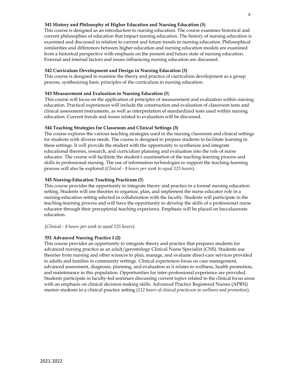## **541 History and Philosophy of Higher Education and Nursing Education (3)**

This course is designed as an introduction to nursing education. The course examines historical and current philosophies of education that impact nursing education. The history of nursing education is examined and discussed in relation to current and future trends in nursing education. Philosophical similarities and differences between higher education and nursing education models are examined from a historical perspective with emphasis on the present and future state of nursing education. External and internal factors and issues influencing nursing education are discussed.

## **542 Curriculum Development and Design in Nursing Education (3)**

This course is designed to examine the theory and practice of curriculum development as a group process, synthesizing basic principles of the curriculum in nursing education.

## **543 Measurement and Evaluation in Nursing Education (3**)

This course will focus on the application of principles of measurement and evaluation within nursing education. Practical experiences will include the construction and evaluation of classroom tests and clinical assessment instruments, as well as interpretation of standardized tests used within nursing education. Current trends and issues related to evaluation will be discussed.

## **544 Teaching Strategies for Classroom and Clinical Settings (3)**

The course explores the various teaching strategies used in the nursing classroom and clinical settings for students with diverse needs. The course is designed to prepare students to facilitate learning in these settings. It will provide the student with the opportunity to synthesize and integrate educational theories, research, and curriculum planning and evaluation into the role of nurse educator. The course will facilitate the student's examination of the teaching-learning process and skills in professional nursing. The use of information technologies to support the teaching-learning process will also be explored (*Clinical - 8 hours per week to equal 125 hours*).

## **545 Nursing-Education Teaching Practicum (3**)

This course provides the opportunity to integrate theory and practice in a formal nursing education setting. Students will use theories to organize, plan, and implement the nurse educator role in a nursing-education setting selected in collaboration with the faculty. Students will participate in the teaching-learning process and will have the opportunity to develop the skills of a professional nurse educator through their preceptorial teaching experience. Emphasis will be placed on baccalaureate education.

### (*Clinical - 8 hours per week to equal 125 hours*).

### **551 Advanced Nursing Practice I (2)**

This course provides an opportunity to integrate theory and practice that prepares students for advanced nursing practice as an adult/gerontology Clinical Nurse Specialist (CNS). Students use theories from nursing and other sciences to plan, manage, and evaluate direct-care services provided to adults and families in community settings. Clinical experiences focus on case management, advanced assessment, diagnosis, planning, and evaluation as it relates to wellness, health promotion, and maintenance in this population. Opportunities for inter-professional experience are provided. Students participate in faculty-led seminars discussing current topics related to the clinical focus areas with an emphasis on clinical decision-making skills. Advanced Practice Registered Nurses (APRN) mentor students in a clinical practice setting (*112 hours of clinical practicum in wellness and promotion*).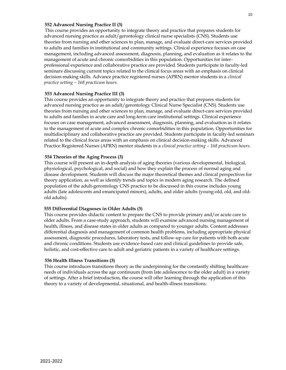### **552 Advanced Nursing Practice II (3)**

This course provides an opportunity to integrate theory and practice that prepares students for advanced nursing practice as adult/gerontology clinical nurse specialists (CNS). Students use theories from nursing and other sciences to plan, manage, and evaluate direct-care services provided to adults and families in institutional and community settings. Clinical experience focuses on case management, including advanced assessment, diagnosis, planning, and evaluation as it relates to the management of acute and chronic comorbidities in this population. Opportunities for interprofessional experience and collaborative practice are provided. Students participate in faculty-led seminars discussing current topics related to the clinical focus areas with an emphasis on clinical decision-making skills. Advance practice registered nurses (APRN) mentor students in a *clinical practice setting – 168 practicum hours.*

### **553 Advanced Nursing Practice III (3)**

This course provides an opportunity to integrate theory and practice that prepares students for advanced nursing practice as an adult/gerontology Clinical Nurse Specialist (CNS). Students use theories from nursing and other sciences to plan, manage, and evaluate direct-care services provided to adults and families in acute care and long-term care institutional settings. Clinical experience focuses on case management, advanced assessment, diagnosis, planning, and evaluation as it relates to the management of acute and complex chronic comorbidities in this population. Opportunities for multidisciplinary and collaborative practice are provided. Students participate in faculty-led seminars related to the clinical focus areas with an emphasis on clinical decision-making skills. Advanced Practice Registered Nurses (APRN) mentor students in a *clinical practice setting – 168 practicum hours*.

### **554 Theories of the Aging Process (3)**

This course will present an in-depth analysis of aging theories (various developmental, biological, physiological, psychological, and social) and how they explain the process of normal aging and disease development. Students will discuss the major theoretical themes and clinical perspectives for theory application, as well as identify trends and topics in modern aging research. The defined population of the adult-gerontology CNS practice to be discussed in this course includes young adults (late adolescents and emancipated minors), adults, and older adults (young-old, old, and oldold adults).

### **555 Differential Diagnoses in Older Adults (3)**

This course provides didactic content to prepare the CNS to provide primary and/or acute care to older adults. From a case-study approach, students will examine advanced nursing management of health, illness, and disease states in older adults as compared to younger adults. Content addresses differential diagnosis and management of common health problems, including appropriate physical assessment, diagnostic procedures, laboratory tests, and follow-up care for patients with both acute and chronic conditions. Students use evidence-based care and clinical guidelines to provide safe, holistic, and cost-effective care to adult and geriatric patients in a variety of healthcare settings.

### **556 Health Illness Transitions (3)**

This course introduces transitions theory as the underpinning for the constantly shifting healthcare needs of individuals across the age continuum (from late adolescence to the older adult) in a variety of settings. After a brief introduction, the course will offer learning through the application of this theory to a variety of developmental, situational, and health-illness transitions.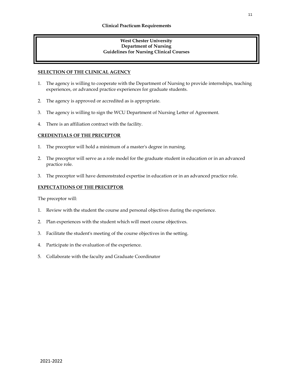## **West Chester University Department of Nursing Guidelines for Nursing Clinical Courses**

## **SELECTION OF THE CLINICAL AGENCY**

- 1. The agency is willing to cooperate with the Department of Nursing to provide internships, teaching experiences, or advanced practice experiences for graduate students.
- 2. The agency is approved or accredited as is appropriate.
- 3. The agency is willing to sign the WCU Department of Nursing Letter of Agreement.
- 4. There is an affiliation contract with the facility.

## **CREDENTIALS OF THE PRECEPTOR**

- 1. The preceptor will hold a minimum of a master's degree in nursing.
- 2. The preceptor will serve as a role model for the graduate student in education or in an advanced practice role.
- 3. The preceptor will have demonstrated expertise in education or in an advanced practice role.

### **EXPECTATIONS OF THE PRECEPTOR**

The preceptor will:

- 1. Review with the student the course and personal objectives during the experience.
- 2. Plan experiences with the student which will meet course objectives.
- 3. Facilitate the student's meeting of the course objectives in the setting.
- 4. Participate in the evaluation of the experience.
- 5. Collaborate with the faculty and Graduate Coordinator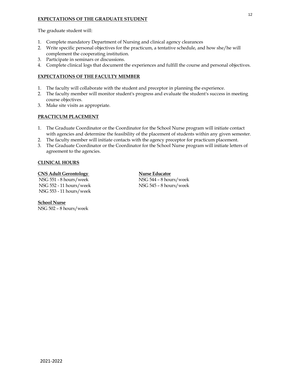## **EXPECTATIONS OF THE GRADUATE STUDENT**

The graduate student will:

- 1. Complete mandatory Department of Nursing and clinical agency clearances
- 2. Write specific personal objectives for the practicum, a tentative schedule, and how she/he will complement the cooperating institution.
- 3. Participate in seminars or discussions.
- 4. Complete clinical logs that document the experiences and fulfill the course and personal objectives.

## **EXPECTATIONS OF THE FACULTY MEMBER**

- 1. The faculty will collaborate with the student and preceptor in planning the experience.
- 2. The faculty member will monitor student's progress and evaluate the student's success in meeting course objectives.
- 3. Make site visits as appropriate.

## **PRACTICUM PLACEMENT**

- 1. The Graduate Coordinator or the Coordinator for the School Nurse program will initiate contact with agencies and determine the feasibility of the placement of students within any given semester.
- 2. The faculty member will initiate contacts with the agency preceptor for practicum placement.
- 3. The Graduate Coordinator or the Coordinator for the School Nurse program will initiate letters of agreement to the agencies.

## **CLINICAL HOURS**

### **CNS Adult Gerontology Nurse Educator**

NSG 551 - 8 hours/week NSG 544 – 8 hours/week NSG 552 - 11 hours/week NSG 545 – 8 hours/week NSG 553 - 11 hours/week

**School Nurse** NSG 502 – 8 hours/week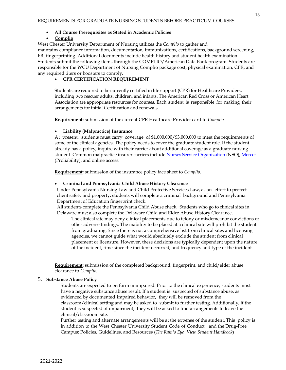## • **All Course Prerequisites as Stated in Academic Policies**

## • **Complio**

West Chester University Department of Nursing utilizes the *Complio* to gather and maintains compliance information, documentation, immunizations, certifications, background screening, FBI fingerprinting. Additional documents include health history and student health examination. Students submit the following items through the COMPLIO/American Data Bank program. Students are responsible for the WCU Department of Nursing Complio package cost, physical examination, CPR, and any required titers or boosters to comply.

## • **CPR CERTIFICATION REQUIREMENT**

Students are required to be currently certified in life support (CPR) for Healthcare Providers, including two rescuer adults, children, and infants. The American Red Cross or American Heart Association are appropriate resources for courses. Each student is responsible for making their arrangements for initial Certification and renewals.

**Requirement:** submission of the current CPR Healthcare Provider card to *Complio.*

## • **Liability (Malpractice) Insurance**

At present, students must carry coverage of \$1,000,000/\$3,000,000 to meet the requirements of some of the clinical agencies. The policy needs to cover the graduate student role. If the student already has a policy, inquire with their carrier about additional coverage as a graduate nursing student. Common malpractice insurer carriers include [Nurses Service Organization](https://www.nso.com/malpractice-insurance/individual) (NSO), [Mercer](https://www.proliability.com/professional-liability-insurance/nurses.html) (Proliability), and online access.

**Requirement:** submission of the insurance policy face sheet to *Complio.*

### • **Criminal and Pennsylvania Child Abuse History Clearance**

Under Pennsylvania Nursing Law and Child Protective Services Law, as an effort to protect client safety and property, students will complete a criminal background and Pennsylvania Department of Education fingerprint check.

All students complete the Pennsylvania Child Abuse check. Students who go to clinical sites in Delaware must also complete the Delaware Child and Elder Abuse History Clearance.

The clinical site may deny clinical placements due to felony or misdemeanor convictions or other adverse findings. The inability to be placed at a clinical site will prohibit the student from graduating. Since there is not a comprehensive list from clinical sites and licensing agencies, we cannot guide what would absolutely exclude the student from clinical placement or licensure. However, these decisions are typically dependent upon the nature of the incident, time since the incident occurred, and frequency and type of the incident.

**Requirement:** submission of the completed background, fingerprint, and child/elder abuse clearance to *Complio.*

### 5. **Substance Abuse Policy**

Students are expected to perform unimpaired. Prior to the clinical experience, students must have a negative substance abuse result. If a student is suspected of substance abuse, as evidenced by documented impaired behavior, they will be removed from the classroom/clinical setting and may be asked to submit to further testing. Additionally, if the student is suspected of impairment, they will be asked to find arrangements to leave the clinical/classroom site.

Further testing and alternate arrangements will be at the expense of the student. This policy is in addition to the West Chester University Student Code of Conduct and the Drug-Free Campus: Policies, Guidelines, and Resources (*The Ram's Eye View Student Handbook*)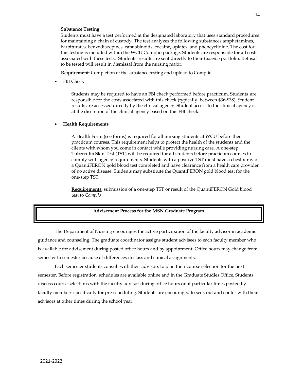### **Substance Testing**

Students must have a test performed at the designated laboratory that uses standard procedures for maintaining a chain of custody. The test analyzes the following substances amphetamines, barbiturates, benzodiazepines, cannabinoids, cocaine, opiates, and phencyclidine. The cost for this testing is included within the WCU Complio package. Students are responsible for all costs associated with these tests. Students' results are sent directly to their *Complio* portfolio. Refusal to be tested will result in dismissal from the nursing major.

**Requirement:** Completion of the substance testing and upload to Complio

• FBI Check

Students may be required to have an FBI check performed before practicum. Students are responsible for the costs associated with this check (typically between \$36-\$38). Student results are accessed directly by the clinical agency. Student access to the clinical agency is at the discretion of the clinical agency based on this FBI check.

### • **Health Requirements**

A Health Form (see forms) is required for all nursing students at WCU before their practicum courses. This requirement helps to protect the health of the students and the clients with whom you come in contact while providing nursing care. A one-step Tuberculin Skin Test (TST) will be required for all students before practicum courses to comply with agency requirements. Students with a positive TST must have a chest x-ray or a QuantiFERON gold blood test completed and have clearance from a health care provider of no active disease. Students may substitute the QuantiFERON gold blood test for the one-step TST.

**Requirements:** submission of a one-step TST or result of the QuantiFERON Gold blood test to *Complio*

### **Advisement Process for the MSN Graduate Program**

The Department of Nursing encourages the active participation of the faculty advisor in academic guidance and counseling. The graduate coordinator assigns student advisees to each faculty member who is available for advisement during posted office hours and by appointment. Office hours may change from semester to semester because of differences in class and clinical assignments.

Each semester students consult with their advisors to plan their course selection for the next semester. Before registration, schedules are available online and in the Graduate Studies Office. Students discuss course selections with the faculty advisor during office hours or at particular times posted by faculty members specifically for pre-scheduling. Students are encouraged to seek out and confer with their advisors at other times during the school year.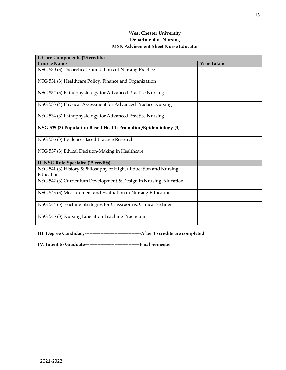## **West Chester University Department of Nursing MSN Advisement Sheet Nurse Educator**

| I. Core Components (25 credits)                                               |                   |
|-------------------------------------------------------------------------------|-------------------|
| <b>Course Name</b>                                                            | <b>Year Taken</b> |
| NSG 530 (3) Theoretical Foundations of Nursing Practice                       |                   |
| NSG 531 (3) Healthcare Policy, Finance and Organization                       |                   |
| NSG 532 (3) Pathophysiology for Advanced Practice Nursing                     |                   |
| NSG 533 (4) Physical Assessment for Advanced Practice Nursing                 |                   |
| NSG 534 (3) Pathophysiology for Advanced Practice Nursing                     |                   |
| NSG 535 (3) Population-Based Health Promotion/Epidemiology (3)                |                   |
| NSG 536 (3) Evidence-Based Practice Research                                  |                   |
| NSG 537 (3) Ethical Decision-Making in Healthcare                             |                   |
| II. NSG Role Specialty (15 credits)                                           |                   |
| NSG 541 (3) History & Philosophy of Higher Education and Nursing<br>Education |                   |
| NSG 542 (3) Curriculum Development & Design in Nursing Education              |                   |
| NSG 543 (3) Measurement and Evaluation in Nursing Education                   |                   |
| NSG 544 (3) Teaching Strategies for Classroom & Clinical Settings             |                   |
| NSG 545 (3) Nursing Education Teaching Practicum                              |                   |

**III. Degree Candidacy------------------------------------After 15 credits are completed**

**IV. Intent to Graduate-----------------------------------Final Semester**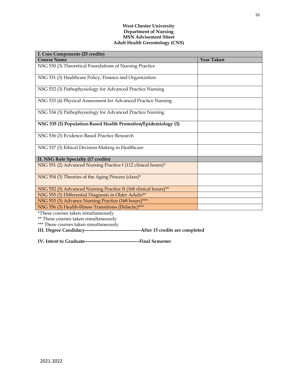### **West Chester University Department of Nursing MSN Advisement Sheet Adult Health Gerontology (CNS)**

| I. Core Components (25 credits)                                 |                   |
|-----------------------------------------------------------------|-------------------|
| <b>Course Name</b>                                              | <b>Year Taken</b> |
| NSG 530 (3) Theoretical Foundations of Nursing Practice         |                   |
| NSG 531 (3) Healthcare Policy, Finance and Organization         |                   |
| NSG 532 (3) Pathophysiology for Advanced Practice Nursing       |                   |
| NSG 533 (4) Physical Assessment for Advanced Practice Nursing   |                   |
| NSG 534 (3) Pathophysiology for Advanced Practice Nursing       |                   |
| NSG 535 (3) Population-Based Health Promotion/Epidemiology (3)  |                   |
| NSG 536 (3) Evidence-Based Practice Research                    |                   |
| NSG 537 (3) Ethical Decision-Making in Healthcare               |                   |
| II. NSG Role Specialty (17 credits)                             |                   |
| NSG 551 (2) Advanced Nursing Practice I (112 clinical hours)*   |                   |
| NSG 554 (3) Theories of the Aging Process (class)*              |                   |
| NSG 552 (3) Advanced Nursing Practice II (168 clinical hours)** |                   |
| NSG 555 (3) Differential Diagnosis in Older Adults**            |                   |
| NSG 553 (3) Advance Nursing Practice (168 hours)***             |                   |
| NSG 556 (3) Health-Illness Transitions (Didactic)***            |                   |
| *These courses taken simultaneously                             |                   |
| ** These courses taken simultaneously                           |                   |

\*\*\* These courses taken simultaneously

**III. Degree Candidacy------------------------------------After 15 credits are completed**

**IV. Intent to Graduate-----------------------------------Final Semester**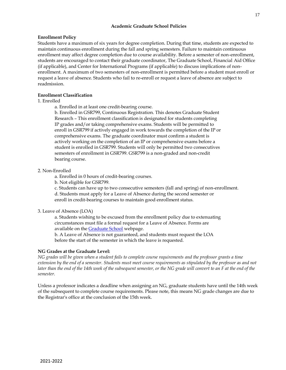## **Academic Graduate School Policies**

## **Enrollment Policy**

Students have a maximum of six years for degree completion. During that time, students are expected to maintain continuous enrollment during the fall and spring semesters. Failure to maintain continuous enrollment may affect degree completion due to course availability. Before a semester of non-enrollment, students are encouraged to contact their graduate coordinator, The Graduate School, Financial Aid Office (if applicable), and Center for International Programs (if applicable) to discuss implications of nonenrollment. A maximum of two semesters of non-enrollment is permitted before a student must enroll or request a leave of absence. Students who fail to re-enroll or request a leave of absence are subject to readmission.

## **Enrollment Classification**

1. Enrolled

a. Enrolled in at least one credit-bearing course.

b. Enrolled in GSR799, Continuous Registration. This denotes Graduate Student Research – This enrollment classification is designated for students completing IP grades and/or taking comprehensive exams. Students will be permitted to enroll in GSR799 if actively engaged in work towards the completion of the IP or comprehensive exams. The graduate coordinator must confirm a student is actively working on the completion of an IP or comprehensive exams before a student is enrolled in GSR799. Students will only be permitted two consecutives semesters of enrollment in GSR799. GSR799 is a non-graded and non-credit bearing course.

## 2. Non-Enrolled

a. Enrolled in 0 hours of credit-bearing courses.

b. Not eligible for GSR799.

c. Students can have up to two consecutive semesters (fall and spring) of non-enrollment. d. Students must apply for a Leave of Absence during the second semester or enroll in credit-bearing courses to maintain good enrollment status.

## 3. Leave of Absence (LOA)

a. Students wishing to be excused from the enrollment policy due to extenuating circumstances must file a formal request for a Leave of Absence. Forms are available on the **Graduate School** webpage.

b. A Leave of Absence is not guaranteed, and students must request the LOA before the start of the semester in which the leave is requested.

## **NG Grades at the Graduate Level:**

*NG grades will be given when a student fails to complete course requirements and the professor grants a time extension by the end of a semester. Students must meet course requirements as stipulated by the professor as and not*  later than the end of the 14th week of the subsequent semester, or the NG grade will convert to an F at the end of the *semester.*

Unless a professor indicates a deadline when assigning an NG, graduate students have until the 14th week of the subsequent to complete course requirements. Please note, this means NG grade changes are due to the Registrar's office at the conclusion of the 15th week.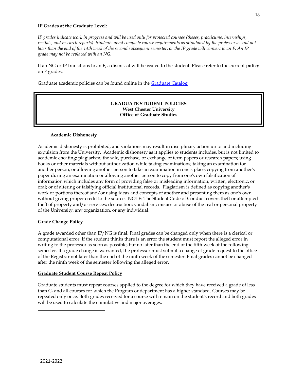## **IP Grades at the Graduate Level:**

*IP grades indicate work in progress and will be used only for protected courses (theses, practicums, internships, recitals, and research reports). Students must complete course requirements as stipulated by the professor as and not later than the end of the 14th week of the second subsequent semester, or the IP grade will convert to an F. An IP grade may not be replaced with an NG.*

If an NG or IP transitions to an F, a dismissal will be issued to the student. Please refer to the current **policy** on F grades.

Graduate academic policies can be found online in the **Graduate Catalog**.

## **GRADUATE STUDENT POLICIES West Chester University Office of Graduate Studies**

## **Academic Dishonesty**

Academic dishonesty is prohibited, and violations may result in disciplinary action up to and including expulsion from the University. Academic dishonesty as it applies to students includes, but is not limited to academic cheating; plagiarism; the sale, purchase, or exchange of term papers or research papers; using books or other materials without authorization while taking examinations; taking an examination for another person, or allowing another person to take an examination in one's place; copying from another's paper during an examination or allowing another person to copy from one's own falsification of information which includes any form of providing false or misleading information, written, electronic, or oral; or of altering or falsifying official institutional records. Plagiarism is defined as copying another's work or portions thereof and/or using ideas and concepts of another and presenting them as one's own without giving proper credit to the source. NOTE: The Student Code of Conduct covers theft or attempted theft of property and/or services; destruction; vandalism; misuse or abuse of the real or personal property of the University, any organization, or any individual.

## **Grade Change Policy**

A grade awarded other than IP/NG is final. Final grades can be changed only when there is a clerical or computational error. If the student thinks there is an error the student must report the alleged error in writing to the professor as soon as possible, but no later than the end of the fifth week of the following semester. If a grade change is warranted, the professor must submit a change of grade request to the office of the Registrar not later than the end of the ninth week of the semester. Final grades cannot be changed after the ninth week of the semester following the alleged error.

## **Graduate Student Course Repeat Policy**

Graduate students must repeat courses applied to the degree for which they have received a grade of less than C- and all courses for which the Program or department has a higher standard. Courses may be repeated only once. Both grades received for a course will remain on the student's record and both grades will be used to calculate the cumulative and major averages.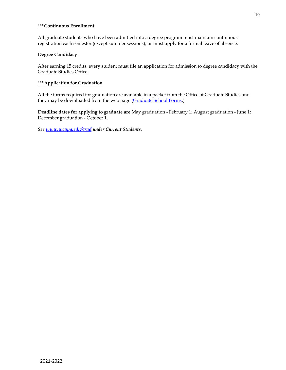### **\*\*\*Continuous Enrollment**

All graduate students who have been admitted into a degree program must maintain continuous registration each semester (except summer sessions), or must apply for a formal leave of absence.

### **Degree Candidacy**

After earning 15 credits, every student must file an application for admission to degree candidacy with the Graduate Studies Office.

## **\*\*\*Application for Graduation**

All the forms required for graduation are available in a packet from the Office of Graduate Studies and they may be downloaded from the web page [\(Graduate School Forms.](https://www.wcupa.edu/_admissions/SCH_DGR/forms.aspx))

**Deadline dates for applying to graduate are** May graduation - February 1; August graduation - June 1; December graduation - October 1.

*See [www.wcupa.edu/grad](http://www.wcupa.edu/grad) under Current Students.*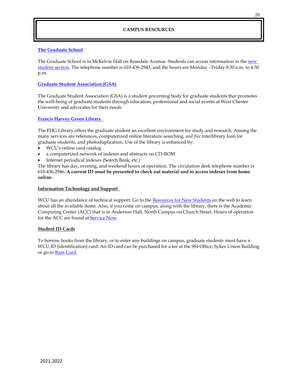## **CAMPUS RESOURCES**

## **[The Graduate School](https://www.wcupa.edu/_admissions/SCH_DGR/default.aspx)**

The Graduate School is in McKelvie Hall on Rosedale Avenue. Students can access information in the [new](https://www.wcupa.edu/_admissions/SCH_DGR/newGradStudents.aspx)  [student section.](https://www.wcupa.edu/_admissions/SCH_DGR/newGradStudents.aspx) The telephone number is 610-436-2943, and the hours are Monday - Friday 8:30 a.m. to 4:30 p.m.

## **[Graduate Student Association \(GSA\)](https://www.wcupa.edu/_admissions/SCH_DGR/gsa/)**

The Graduate Student Association (GSA) is a student governing body for graduate students that promotes the well-being of graduate students through education, professional and social events at West Chester University and advocates for their needs.

### **[Francis Harvey Green Library](https://library.wcupa.edu/home)**

The FHG Library offers the graduate student an excellent environment for study and research. Among the many services are references, computerized online literature searching, *and free* interlibrary loan for graduate students, and photoduplication. Use of the library is enhanced by:

- WCU's online card catalog
- a computerized network of indexes and abstracts on CD-ROM
- Internet periodical indexes (Search Bank, etc.)

The library has day, evening, and weekend hours of operation. The circulation desk telephone number is 610-436-2946. **A current ID must be presented to check out material and to access indexes from home online.**

### **Information Technology and Support**

WCU has an abundance of technical support. Go to th[e Resources for New Students](https://www.wcupa.edu/infoServices/serviceNow/resourceLinks.aspx) on the web to learn about all the available items. Also, if you come on campus, along with the library, there is the Academic Computing Center (ACC) that is in Anderson Hall, North Campus on Church Street. Hours of operation for the ACC are found at **Service Now**.

### **Student ID Cards**

To borrow books from the library, or to enter any buildings on campus, graduate students must have a WCU ID (identification) card. An ID card can be purchased for a fee at the SSI Office, Sykes Union Building or go to **Ram Card**.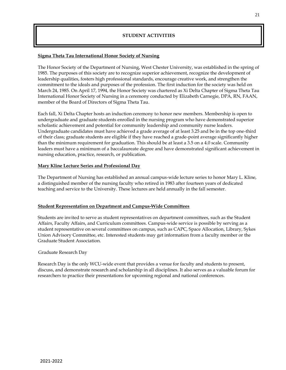## **STUDENT ACTIVITIES**

## **Sigma Theta Tau International Honor Society of Nursing**

The Honor Society of the Department of Nursing, West Chester University, was established in the spring of 1985. The purposes of this society are to recognize superior achievement, recognize the development of leadership qualities, fosters high professional standards, encourage creative work, and strengthen the commitment to the ideals and purposes of the profession. The first induction for the society was held on March 24, 1985. On April 17, 1994, the Honor Society was chartered as Xi Delta Chapter of Sigma Theta Tau International Honor Society of Nursing in a ceremony conducted by Elizabeth Carnegie, DPA, RN, FAAN, member of the Board of Directors of Sigma Theta Tau.

Each fall, Xi Delta Chapter hosts an induction ceremony to honor new members. Membership is open to undergraduate and graduate students enrolled in the nursing program who have demonstrated superior scholastic achievement and potential for community leadership and community nurse leaders. Undergraduate candidates must have achieved a grade average of at least 3.25 and be in the top one-third of their class; graduate students are eligible if they have reached a grade-point average significantly higher than the minimum requirement for graduation. This should be at least a 3.5 on a 4.0 scale. Community leaders must have a minimum of a baccalaureate degree and have demonstrated significant achievement in nursing education, practice, research, or publication.

## **Mary Kline Lecture Series and Professional Day**

The Department of Nursing has established an annual campus-wide lecture series to honor Mary L. Kline, a distinguished member of the nursing faculty who retired in 1983 after fourteen years of dedicated teaching and service to the University. These lectures are held annually in the fall semester.

### **Student Representation on Department and Campus-Wide Committees**

Students are invited to serve as student representatives on department committees, such as the Student Affairs, Faculty Affairs, and Curriculum committees. Campus-wide service is possible by serving as a student representative on several committees on campus, such as CAPC, Space Allocation, Library, Sykes Union Advisory Committee, etc. Interested students may get information from a faculty member or the Graduate Student Association.

### Graduate Research Day

Research Day is the only WCU-wide event that provides a venue for faculty and students to present, discuss, and demonstrate research and scholarship in all disciplines. It also serves as a valuable forum for researchers to practice their presentations for upcoming regional and national conferences.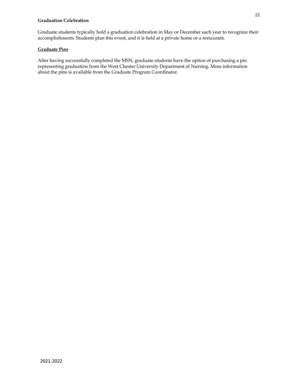## **Graduation Celebration**

Graduate students typically hold a graduation celebration in May or December each year to recognize their accomplishments. Students plan this event, and it is held at a private home or a restaurant.

## **Graduate Pins**

After having successfully completed the MSN, graduate students have the option of purchasing a pin representing graduation from the West Chester University Department of Nursing. More information about the pins is available from the Graduate Program Coordinator.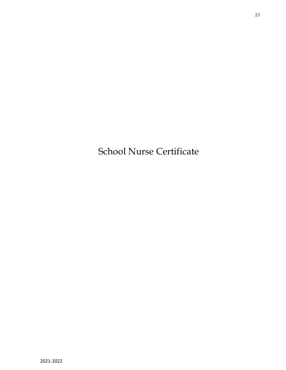School Nurse Certificate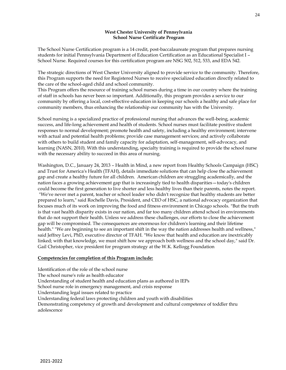## **West Chester University of Pennsylvania School Nurse Certificate Program**

The School Nurse Certification program is a 14 credit, post-baccalaureate program that prepares nursing students for initial Pennsylvania Department of Education Certification as an Educational Specialist I – School Nurse. Required courses for this certification program are NSG 502, 512, 533, and EDA 542.

The strategic directions of West Chester University aligned to provide service to the community. Therefore, this Program supports the need for Registered Nurses to receive specialized education directly related to the care of the school-aged child and school community.

This Program offers the resource of training school nurses during a time in our country where the training of staff in schools has never been so important. Additionally, this program provides a service to our community by offering a local, cost-effective education in keeping our schools a healthy and safe place for community members, thus enhancing the relationship our community has with the University.

School nursing is a specialized practice of professional nursing that advances the well-being, academic success, and life-long achievement and health of students. School nurses must facilitate positive student responses to normal development; promote health and safety, including a healthy environment; intervene with actual and potential health problems; provide case management services; and actively collaborate with others to build student and family capacity for adaptation, self-management, self-advocacy, and learning (NASN, 2010). With this understanding, specialty training is required to provide the school nurse with the necessary ability to succeed in this area of nursing.

Washington, D.C., January 24, 2013 – Health in Mind, a new report from Healthy Schools Campaign (HSC) and Trust for America's Health (TFAH), details immediate solutions that can help close the achievement gap and create a healthy future for all children. American children are struggling academically, and the nation faces a growing achievement gap that is increasingly tied to health disparities—today's children could become the first generation to live shorter and less healthy lives than their parents, notes the report. "We've never met a parent, teacher or school leader who didn't recognize that healthy students are better prepared to learn," said Rochelle Davis, President, and CEO of HSC, a national advocacy organization that focuses much of its work on improving the food and fitness environment in Chicago schools. "But the truth is that vast health disparity exists in our nation, and far too many children attend school in environments that do not support their health. Unless we address these challenges, our efforts to close the achievement gap will be compromised. The consequences are enormous for children's learning and their lifetime health." "We are beginning to see an important shift in the way the nation addresses health and wellness," said Jeffrey Levi, PhD, executive director of TFAH. "We know that health and education are inextricably linked; with that knowledge, we must shift how we approach both wellness and the school day," said Dr. Gail Christopher, vice president for program strategy at the W.K. Kellogg Foundation

## **Competencies for completion of this Program include:**

Identification of the role of the school nurse The school nurse's role as health educator Understanding of student health and education plans as authored in IEPs School nurse role in emergency management, and crisis response Understanding legal issues related to practice Understanding federal laws protecting children and youth with disabilities Demonstrating competency of growth and development and cultural competence of toddler thru adolescence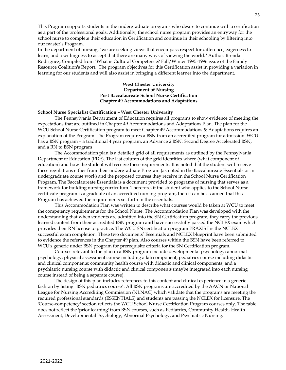This Program supports students in the undergraduate programs who desire to continue with a certification as a part of the professional goals. Additionally, the school nurse program provides an entryway for the school nurse to complete their education in Certification and continue in their schooling by filtering into our master's Program.

In the department of nursing, "we are seeking views that encompass respect for difference, eagerness to learn, and a willingness to accept that there are many ways of viewing the world." Author: Brenda Rodriguez, Compiled from "What is Cultural Competence? Fall/Winter 1995-1996 issue of the Family Resource Coalition's Report. The program objectives for this Certification assist in providing a variation in learning for our students and will also assist in bringing a different learner into the department.

### **West Chester University Department of Nursing Post Baccalaureate School Nurse Certification Chapter 49 Accommodations and Adaptations**

### **School Nurse Specialist Certification – West Chester University**

The Pennsylvania Department of Education requires all programs to show evidence of meeting the expectations that are outlined in Chapter 49 Accommodations and Adaptations Plan. The plan for the WCU School Nurse Certification program to meet Chapter 49 Accommodations & Adaptations requires an explanation of the Program. The Program requires a BSN from an accredited program for admission. WCU has a BSN program - a traditional 4 year program, an Advance 2 BSN: Second Degree Accelerated BSN, and a RN to BSN program

The Accommodation plan is a detailed grid of all requirements as outlined by the Pennsylvania Department of Education (PDE). The last column of the grid identifies where (what component of education) and how the student will receive these requirements. It is noted that the student will receive these regulations either from their undergraduate Program (as noted in the Baccalaureate Essentials or in undergraduate course work) and the proposed courses they receive in the School Nurse Certification Program. The Baccalaureate Essentials is a document provided to programs of nursing that serves as a framework for building nursing curriculum. Therefore, if the student who applies to the School Nurse certificate program is a graduate of an accredited nursing program, then it can be assumed that this Program has achieved the requirements set forth in the essentials.

This Accommodation Plan was written to describe what courses would be taken at WCU to meet the competency requirements for the School Nurse. The Accommodation Plan was developed with the understanding that when students are admitted into the SN Certification program, they carry the previous learned content from their accredited BSN program and have successfully passed the NCLEX exam which provides their RN license to practice. The WCU SN certification program PRAXIS I is the NCLEX successful exam completion. These two documents' Essentials and NCLEX blueprint have been submitted to evidence the references in the Chapter 49 plan. Also courses within the BSN have been referred to WCU's generic under BSN program for prerequisite criteria for the SN Certification program.

Courses relevant to the plan in a BSN program include developmental psychology; abnormal psychology; physical assessment course including a lab component; pediatrics course including didactic and clinical components; community health course with didactic and clinical components; and a psychiatric nursing course with didactic and clinical components (maybe integrated into each nursing course instead of being a separate course).

The design of this plan includes references to this content and clinical experience in a generic fashion by listing "BSN pediatrics course". All BSN programs are accredited by the AACN or National League for Nursing Accrediting Commission (NLNAC) which validate that the programs are meeting the required professional standards (ESSENTIALS) and students are passing the NCLEX for licensure. The 'Course-competency' section reflects the WCU School Nurse Certification Program courses only. The table does not reflect the 'prior learning' from BSN courses, such as Pediatrics, Community Health, Health Assessment, Developmental Psychology, Abnormal Psychology, and Psychiatric Nursing.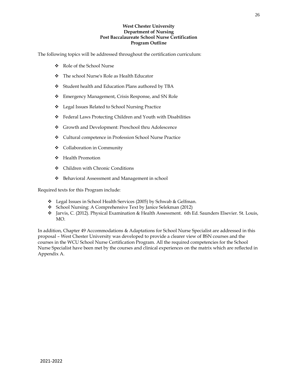## **West Chester University Department of Nursing Post Baccalaureate School Nurse Certification Program Outline**

The following topics will be addressed throughout the certification curriculum:

- ❖ Role of the School Nurse
- ❖ The school Nurse's Role as Health Educator
- ❖ Student health and Education Plans authored by TBA
- ❖ Emergency Management, Crisis Response, and SN Role
- ❖ Legal Issues Related to School Nursing Practice
- ❖ Federal Laws Protecting Children and Youth with Disabilities
- ❖ Growth and Development: Preschool thru Adolescence
- ❖ Cultural competence in Profession School Nurse Practice
- ❖ Collaboration in Community
- ❖ Health Promotion
- ❖ Children with Chronic Conditions
- ❖ Behavioral Assessment and Management in school

Required texts for this Program include:

- ❖ Legal Issues in School Health Services (2005) by Schwab & Gelfman.
- ❖ School Nursing: A Comprehensive Text by Janice Selekman (2012)
- ❖ Jarvis, C. (2012). Physical Examination & Health Assessment. 6th Ed. Saunders Elsevier. St. Louis, MO.

In addition, Chapter 49 Accommodations & Adaptations for School Nurse Specialist are addressed in this proposal – West Chester University was developed to provide a clearer view of BSN courses and the courses in the WCU School Nurse Certification Program. All the required competencies for the School Nurse Specialist have been met by the courses and clinical experiences on the matrix which are reflected in Appendix A.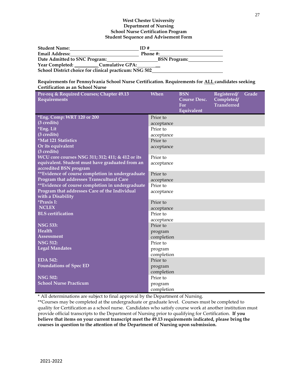| <b>Student Name:</b>                                   | ID#                 |
|--------------------------------------------------------|---------------------|
| <b>Email Address:</b>                                  | Phone #:            |
| Date Admitted to SNC Program:                          | <b>BSN Program:</b> |
| <b>Cumulative GPA:</b>                                 |                     |
| School District choice for clinical practicum: NSG 502 |                     |

### **Requirements for Pennsylvania School Nurse Certification. Requirements for ALL candidates seeking Certification as an School Nurse**

| Pre-req & Required Courses; Chapter 49.13<br>Requirements                 | When                  | <b>BSN</b><br><b>Course Desc.</b><br>For<br>Equivalent | Registered/<br>Completed/<br><b>Transferred</b> | Grade |
|---------------------------------------------------------------------------|-----------------------|--------------------------------------------------------|-------------------------------------------------|-------|
| *Eng. Comp: WRT 120 or 200                                                | Prior to              |                                                        |                                                 |       |
| (3 credits)                                                               | acceptance            |                                                        |                                                 |       |
| *Eng. Lit                                                                 | Prior to              |                                                        |                                                 |       |
| (3 credits)                                                               | acceptance            |                                                        |                                                 |       |
| *Mat 121 Statistics                                                       | Prior to              |                                                        |                                                 |       |
| Or its equivalent                                                         | acceptance            |                                                        |                                                 |       |
| (3 credits)                                                               |                       |                                                        |                                                 |       |
| WCU core courses NSG 311; 312; 411; & 412 or its                          | Prior to              |                                                        |                                                 |       |
| equivalent. Student must have graduated from an<br>accredited BSN program | acceptance            |                                                        |                                                 |       |
| ** Evidence of course completion in undergraduate                         | Prior to              |                                                        |                                                 |       |
| Program that addresses Transcultural Care                                 | acceptance            |                                                        |                                                 |       |
| **Evidence of course completion in undergraduate                          | Prior to              |                                                        |                                                 |       |
| Program that addresses Care of the Individual<br>with a Disability        | acceptance            |                                                        |                                                 |       |
| <i>*Praxis I:</i>                                                         | Prior to              |                                                        |                                                 |       |
| <b>NCLEX</b>                                                              | acceptance            |                                                        |                                                 |       |
| <b>BLS</b> certification                                                  | Prior to              |                                                        |                                                 |       |
|                                                                           | acceptance            |                                                        |                                                 |       |
| <b>NSG 533:</b>                                                           | Prior to              |                                                        |                                                 |       |
| Health<br>Assessment                                                      | program               |                                                        |                                                 |       |
| <b>NSG 512:</b>                                                           | completion            |                                                        |                                                 |       |
| <b>Legal Mandates</b>                                                     | Prior to              |                                                        |                                                 |       |
|                                                                           | program<br>completion |                                                        |                                                 |       |
| <b>EDA 542:</b>                                                           | Prior to              |                                                        |                                                 |       |
| <b>Foundations of Spec ED</b>                                             | program               |                                                        |                                                 |       |
|                                                                           | completion            |                                                        |                                                 |       |
| <b>NSG 502:</b>                                                           | Prior to              |                                                        |                                                 |       |
| <b>School Nurse Practicum</b>                                             | program               |                                                        |                                                 |       |
|                                                                           | completion            |                                                        |                                                 |       |

\* All determinations are subject to final approval by the Department of Nursing.

\*\*Courses may be completed at the undergraduate or graduate level. Courses must be completed to quality for Certification as a school nurse. Candidates who satisfy course work at another institution must provide official transcripts to the Department of Nursing prior to qualifying for Certification. **If you believe that items on your current transcript meet the 49.13 requirements indicated, please bring the courses in question to the attention of the Department of Nursing upon submission.**